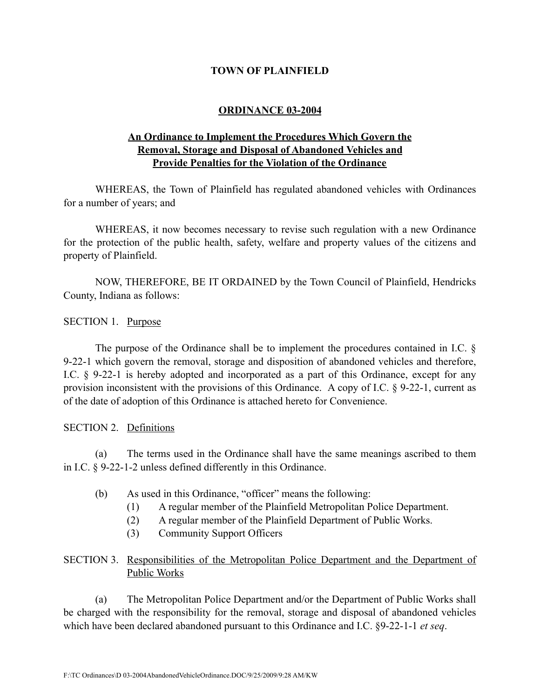## **TOWN OF PLAINFIELD**

## **ORDINANCE 03-2004**

# **An Ordinance to Implement the Procedures Which Govern the Removal, Storage and Disposal of Abandoned Vehicles and Provide Penalties for the Violation of the Ordinance**

 WHEREAS, the Town of Plainfield has regulated abandoned vehicles with Ordinances for a number of years; and

 WHEREAS, it now becomes necessary to revise such regulation with a new Ordinance for the protection of the public health, safety, welfare and property values of the citizens and property of Plainfield.

 NOW, THEREFORE, BE IT ORDAINED by the Town Council of Plainfield, Hendricks County, Indiana as follows:

SECTION 1. Purpose

 The purpose of the Ordinance shall be to implement the procedures contained in I.C. § 9-22-1 which govern the removal, storage and disposition of abandoned vehicles and therefore, I.C. § 9-22-1 is hereby adopted and incorporated as a part of this Ordinance, except for any provision inconsistent with the provisions of this Ordinance. A copy of I.C. § 9-22-1, current as of the date of adoption of this Ordinance is attached hereto for Convenience.

SECTION 2. Definitions

 (a) The terms used in the Ordinance shall have the same meanings ascribed to them in I.C. § 9-22-1-2 unless defined differently in this Ordinance.

- (b) As used in this Ordinance, "officer" means the following:
	- (1) A regular member of the Plainfield Metropolitan Police Department.
	- (2) A regular member of the Plainfield Department of Public Works.
	- (3) Community Support Officers

# SECTION 3. Responsibilities of the Metropolitan Police Department and the Department of Public Works

 (a) The Metropolitan Police Department and/or the Department of Public Works shall be charged with the responsibility for the removal, storage and disposal of abandoned vehicles which have been declared abandoned pursuant to this Ordinance and I.C. §9-22-1-1 *et seq*.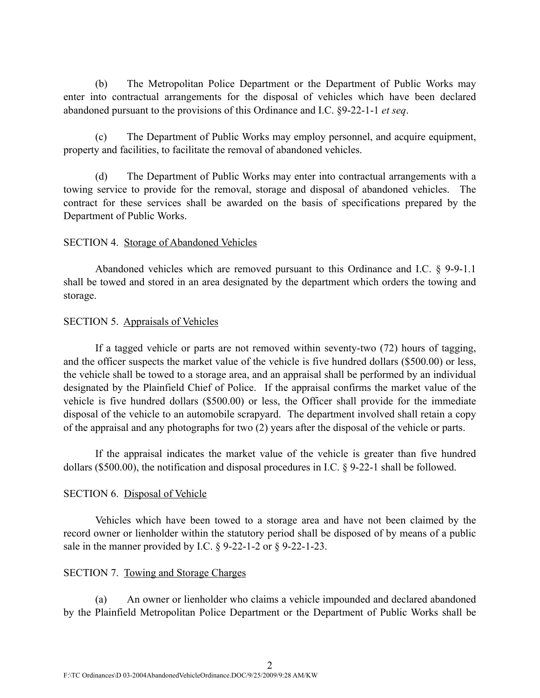(b) The Metropolitan Police Department or the Department of Public Works may enter into contractual arrangements for the disposal of vehicles which have been declared abandoned pursuant to the provisions of this Ordinance and I.C. §9-22-1-1 *et seq*.

 (c) The Department of Public Works may employ personnel, and acquire equipment, property and facilities, to facilitate the removal of abandoned vehicles.

 (d) The Department of Public Works may enter into contractual arrangements with a towing service to provide for the removal, storage and disposal of abandoned vehicles. The contract for these services shall be awarded on the basis of specifications prepared by the Department of Public Works.

### SECTION 4. Storage of Abandoned Vehicles

 Abandoned vehicles which are removed pursuant to this Ordinance and I.C. § 9-9-1.1 shall be towed and stored in an area designated by the department which orders the towing and storage.

## SECTION 5. Appraisals of Vehicles

 If a tagged vehicle or parts are not removed within seventy-two (72) hours of tagging, and the officer suspects the market value of the vehicle is five hundred dollars (\$500.00) or less, the vehicle shall be towed to a storage area, and an appraisal shall be performed by an individual designated by the Plainfield Chief of Police. If the appraisal confirms the market value of the vehicle is five hundred dollars (\$500.00) or less, the Officer shall provide for the immediate disposal of the vehicle to an automobile scrapyard. The department involved shall retain a copy of the appraisal and any photographs for two (2) years after the disposal of the vehicle or parts.

 If the appraisal indicates the market value of the vehicle is greater than five hundred dollars (\$500.00), the notification and disposal procedures in I.C. § 9-22-1 shall be followed.

# SECTION 6. Disposal of Vehicle

 Vehicles which have been towed to a storage area and have not been claimed by the record owner or lienholder within the statutory period shall be disposed of by means of a public sale in the manner provided by I.C. § 9-22-1-2 or § 9-22-1-23.

# SECTION 7. Towing and Storage Charges

 (a) An owner or lienholder who claims a vehicle impounded and declared abandoned by the Plainfield Metropolitan Police Department or the Department of Public Works shall be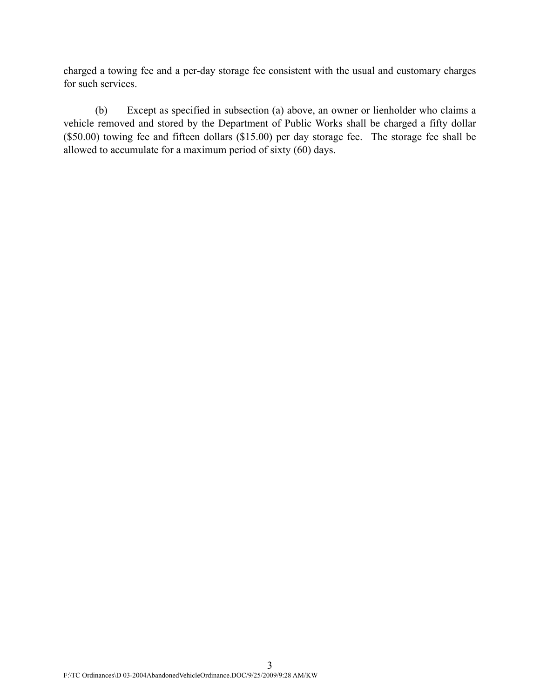charged a towing fee and a per-day storage fee consistent with the usual and customary charges for such services.

 (b) Except as specified in subsection (a) above, an owner or lienholder who claims a vehicle removed and stored by the Department of Public Works shall be charged a fifty dollar (\$50.00) towing fee and fifteen dollars (\$15.00) per day storage fee. The storage fee shall be allowed to accumulate for a maximum period of sixty (60) days.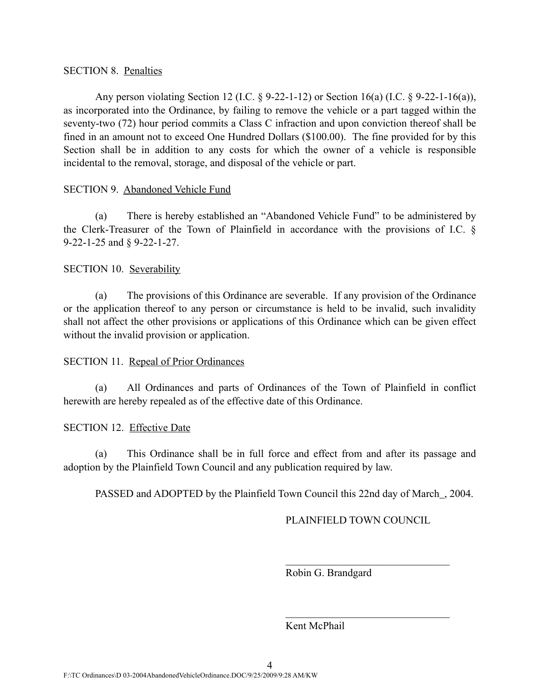### SECTION 8. Penalties

 Any person violating Section 12 (I.C. § 9-22-1-12) or Section 16(a) (I.C. § 9-22-1-16(a)), as incorporated into the Ordinance, by failing to remove the vehicle or a part tagged within the seventy-two (72) hour period commits a Class C infraction and upon conviction thereof shall be fined in an amount not to exceed One Hundred Dollars (\$100.00). The fine provided for by this Section shall be in addition to any costs for which the owner of a vehicle is responsible incidental to the removal, storage, and disposal of the vehicle or part.

## SECTION 9. Abandoned Vehicle Fund

 (a) There is hereby established an "Abandoned Vehicle Fund" to be administered by the Clerk-Treasurer of the Town of Plainfield in accordance with the provisions of I.C. § 9-22-1-25 and § 9-22-1-27.

## SECTION 10. Severability

 (a) The provisions of this Ordinance are severable. If any provision of the Ordinance or the application thereof to any person or circumstance is held to be invalid, such invalidity shall not affect the other provisions or applications of this Ordinance which can be given effect without the invalid provision or application.

### SECTION 11. Repeal of Prior Ordinances

 (a) All Ordinances and parts of Ordinances of the Town of Plainfield in conflict herewith are hereby repealed as of the effective date of this Ordinance.

# SECTION 12. Effective Date

 (a) This Ordinance shall be in full force and effect from and after its passage and adoption by the Plainfield Town Council and any publication required by law.

 $\mathcal{L}_\text{max}$  and  $\mathcal{L}_\text{max}$  and  $\mathcal{L}_\text{max}$  and  $\mathcal{L}_\text{max}$  and  $\mathcal{L}_\text{max}$  and  $\mathcal{L}_\text{max}$ 

 $\mathcal{L}_\text{max}$  and  $\mathcal{L}_\text{max}$  and  $\mathcal{L}_\text{max}$  and  $\mathcal{L}_\text{max}$  and  $\mathcal{L}_\text{max}$  and  $\mathcal{L}_\text{max}$ 

PASSED and ADOPTED by the Plainfield Town Council this 22nd day of March<sub>, 2004</sub>.

### PLAINFIELD TOWN COUNCIL

Robin G. Brandgard

Kent McPhail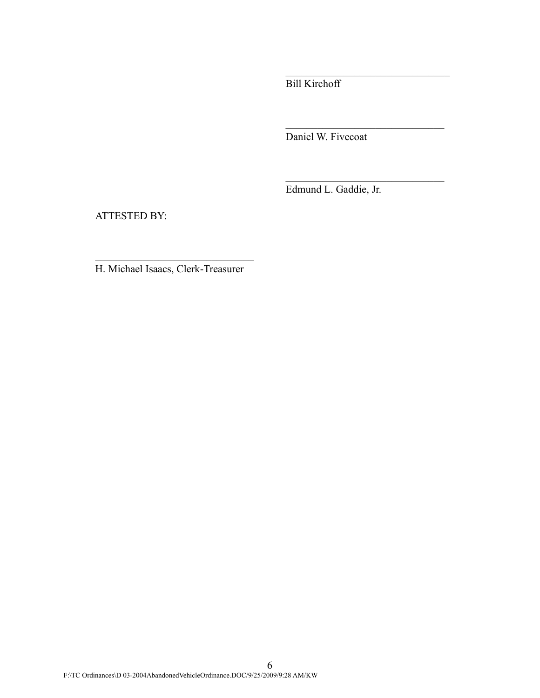Bill Kirchoff

 $\mathcal{L}_\text{max}$  and  $\mathcal{L}_\text{max}$  and  $\mathcal{L}_\text{max}$  and  $\mathcal{L}_\text{max}$  and  $\mathcal{L}_\text{max}$  and  $\mathcal{L}_\text{max}$ 

 $\mathcal{L}_\text{max}$  and  $\mathcal{L}_\text{max}$  and  $\mathcal{L}_\text{max}$  and  $\mathcal{L}_\text{max}$  and  $\mathcal{L}_\text{max}$  and  $\mathcal{L}_\text{max}$ 

 $\mathcal{L}_\text{max}$  and  $\mathcal{L}_\text{max}$  and  $\mathcal{L}_\text{max}$  and  $\mathcal{L}_\text{max}$  and  $\mathcal{L}_\text{max}$  and  $\mathcal{L}_\text{max}$ 

Daniel W. Fivecoat

Edmund L. Gaddie, Jr.

ATTESTED BY:

H. Michael Isaacs, Clerk-Treasurer

 $\mathcal{L}_\text{max}$  , where  $\mathcal{L}_\text{max}$  and  $\mathcal{L}_\text{max}$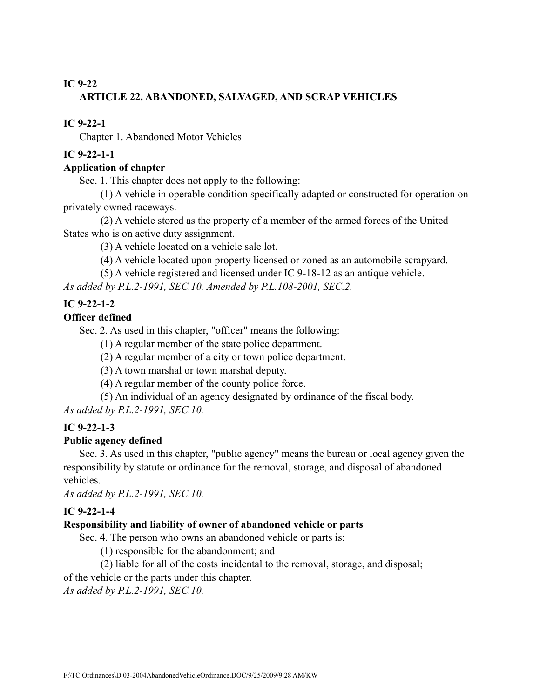# **IC 9-22 ARTICLE 22. ABANDONED, SALVAGED, AND SCRAP VEHICLES**

# **IC 9-22-1**

Chapter 1. Abandoned Motor Vehicles

# **IC 9-22-1-1**

# **Application of chapter**

Sec. 1. This chapter does not apply to the following:

 (1) A vehicle in operable condition specifically adapted or constructed for operation on privately owned raceways.

 (2) A vehicle stored as the property of a member of the armed forces of the United States who is on active duty assignment.

(3) A vehicle located on a vehicle sale lot.

(4) A vehicle located upon property licensed or zoned as an automobile scrapyard.

(5) A vehicle registered and licensed under IC 9-18-12 as an antique vehicle.

*As added by P.L.2-1991, SEC.10. Amended by P.L.108-2001, SEC.2.*

# **IC 9-22-1-2**

# **Officer defined**

Sec. 2. As used in this chapter, "officer" means the following:

(1) A regular member of the state police department.

(2) A regular member of a city or town police department.

(3) A town marshal or town marshal deputy.

(4) A regular member of the county police force.

(5) An individual of an agency designated by ordinance of the fiscal body.

*As added by P.L.2-1991, SEC.10.*

# **IC 9-22-1-3**

# **Public agency defined**

Sec. 3. As used in this chapter, "public agency" means the bureau or local agency given the responsibility by statute or ordinance for the removal, storage, and disposal of abandoned vehicles.

*As added by P.L.2-1991, SEC.10.*

# **IC 9-22-1-4**

# **Responsibility and liability of owner of abandoned vehicle or parts**

Sec. 4. The person who owns an abandoned vehicle or parts is:

(1) responsible for the abandonment; and

(2) liable for all of the costs incidental to the removal, storage, and disposal;

of the vehicle or the parts under this chapter.

*As added by P.L.2-1991, SEC.10.*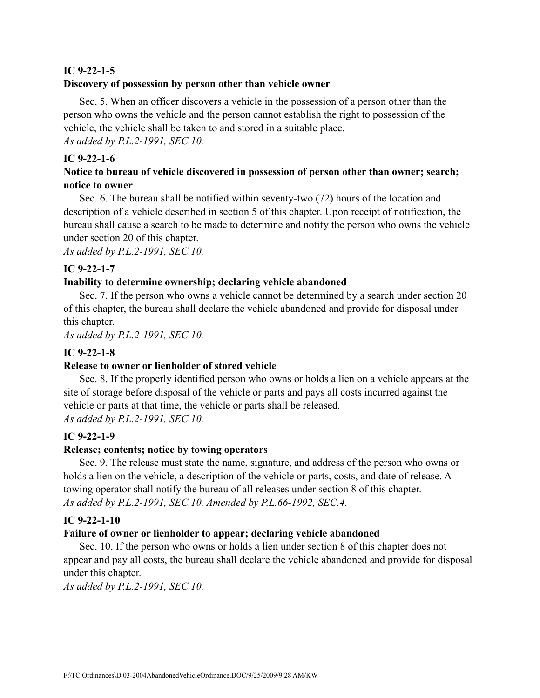### **Discovery of possession by person other than vehicle owner**

Sec. 5. When an officer discovers a vehicle in the possession of a person other than the person who owns the vehicle and the person cannot establish the right to possession of the vehicle, the vehicle shall be taken to and stored in a suitable place. *As added by P.L.2-1991, SEC.10.*

#### **IC 9-22-1-6**

## **Notice to bureau of vehicle discovered in possession of person other than owner; search; notice to owner**

Sec. 6. The bureau shall be notified within seventy-two (72) hours of the location and description of a vehicle described in section 5 of this chapter. Upon receipt of notification, the bureau shall cause a search to be made to determine and notify the person who owns the vehicle under section 20 of this chapter.

*As added by P.L.2-1991, SEC.10.*

### **IC 9-22-1-7**

### **Inability to determine ownership; declaring vehicle abandoned**

Sec. 7. If the person who owns a vehicle cannot be determined by a search under section 20 of this chapter, the bureau shall declare the vehicle abandoned and provide for disposal under this chapter.

*As added by P.L.2-1991, SEC.10.*

#### **IC 9-22-1-8**

### **Release to owner or lienholder of stored vehicle**

Sec. 8. If the properly identified person who owns or holds a lien on a vehicle appears at the site of storage before disposal of the vehicle or parts and pays all costs incurred against the vehicle or parts at that time, the vehicle or parts shall be released.

*As added by P.L.2-1991, SEC.10.*

# **IC 9-22-1-9**

#### **Release; contents; notice by towing operators**

Sec. 9. The release must state the name, signature, and address of the person who owns or holds a lien on the vehicle, a description of the vehicle or parts, costs, and date of release. A towing operator shall notify the bureau of all releases under section 8 of this chapter. *As added by P.L.2-1991, SEC.10. Amended by P.L.66-1992, SEC.4.*

### **IC 9-22-1-10**

#### **Failure of owner or lienholder to appear; declaring vehicle abandoned**

Sec. 10. If the person who owns or holds a lien under section 8 of this chapter does not appear and pay all costs, the bureau shall declare the vehicle abandoned and provide for disposal under this chapter.

*As added by P.L.2-1991, SEC.10.*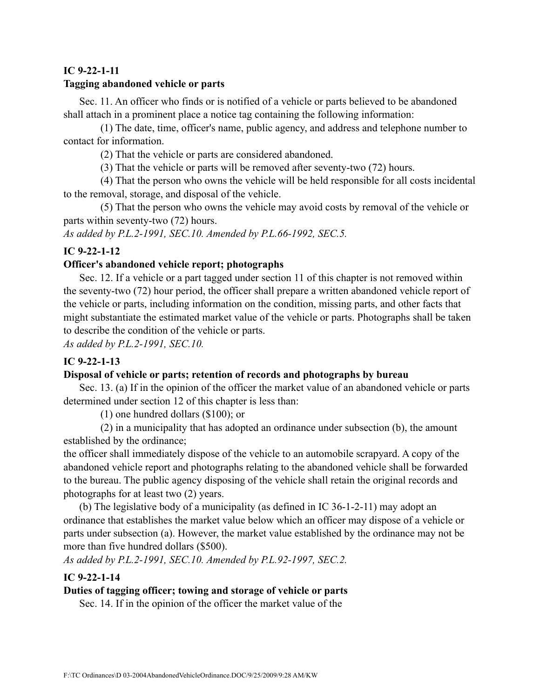### **Tagging abandoned vehicle or parts**

Sec. 11. An officer who finds or is notified of a vehicle or parts believed to be abandoned shall attach in a prominent place a notice tag containing the following information:

 (1) The date, time, officer's name, public agency, and address and telephone number to contact for information.

(2) That the vehicle or parts are considered abandoned.

(3) That the vehicle or parts will be removed after seventy-two (72) hours.

 (4) That the person who owns the vehicle will be held responsible for all costs incidental to the removal, storage, and disposal of the vehicle.

 (5) That the person who owns the vehicle may avoid costs by removal of the vehicle or parts within seventy-two (72) hours.

*As added by P.L.2-1991, SEC.10. Amended by P.L.66-1992, SEC.5.*

#### **IC 9-22-1-12**

#### **Officer's abandoned vehicle report; photographs**

Sec. 12. If a vehicle or a part tagged under section 11 of this chapter is not removed within the seventy-two (72) hour period, the officer shall prepare a written abandoned vehicle report of the vehicle or parts, including information on the condition, missing parts, and other facts that might substantiate the estimated market value of the vehicle or parts. Photographs shall be taken to describe the condition of the vehicle or parts.

*As added by P.L.2-1991, SEC.10.*

#### **IC 9-22-1-13**

#### **Disposal of vehicle or parts; retention of records and photographs by bureau**

Sec. 13. (a) If in the opinion of the officer the market value of an abandoned vehicle or parts determined under section 12 of this chapter is less than:

(1) one hundred dollars (\$100); or

 (2) in a municipality that has adopted an ordinance under subsection (b), the amount established by the ordinance;

the officer shall immediately dispose of the vehicle to an automobile scrapyard. A copy of the abandoned vehicle report and photographs relating to the abandoned vehicle shall be forwarded to the bureau. The public agency disposing of the vehicle shall retain the original records and photographs for at least two (2) years.

 (b) The legislative body of a municipality (as defined in IC 36-1-2-11) may adopt an ordinance that establishes the market value below which an officer may dispose of a vehicle or parts under subsection (a). However, the market value established by the ordinance may not be more than five hundred dollars (\$500).

*As added by P.L.2-1991, SEC.10. Amended by P.L.92-1997, SEC.2.*

#### **IC 9-22-1-14**

#### **Duties of tagging officer; towing and storage of vehicle or parts**

Sec. 14. If in the opinion of the officer the market value of the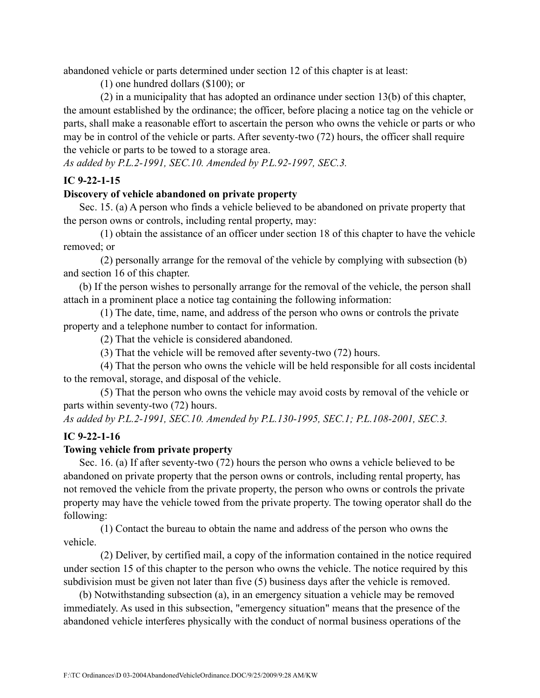abandoned vehicle or parts determined under section 12 of this chapter is at least:

(1) one hundred dollars (\$100); or

 (2) in a municipality that has adopted an ordinance under section 13(b) of this chapter, the amount established by the ordinance; the officer, before placing a notice tag on the vehicle or parts, shall make a reasonable effort to ascertain the person who owns the vehicle or parts or who may be in control of the vehicle or parts. After seventy-two (72) hours, the officer shall require the vehicle or parts to be towed to a storage area.

*As added by P.L.2-1991, SEC.10. Amended by P.L.92-1997, SEC.3.*

# **IC 9-22-1-15**

## **Discovery of vehicle abandoned on private property**

Sec. 15. (a) A person who finds a vehicle believed to be abandoned on private property that the person owns or controls, including rental property, may:

 (1) obtain the assistance of an officer under section 18 of this chapter to have the vehicle removed; or

 (2) personally arrange for the removal of the vehicle by complying with subsection (b) and section 16 of this chapter.

 (b) If the person wishes to personally arrange for the removal of the vehicle, the person shall attach in a prominent place a notice tag containing the following information:

 (1) The date, time, name, and address of the person who owns or controls the private property and a telephone number to contact for information.

(2) That the vehicle is considered abandoned.

(3) That the vehicle will be removed after seventy-two (72) hours.

 (4) That the person who owns the vehicle will be held responsible for all costs incidental to the removal, storage, and disposal of the vehicle.

 (5) That the person who owns the vehicle may avoid costs by removal of the vehicle or parts within seventy-two (72) hours.

*As added by P.L.2-1991, SEC.10. Amended by P.L.130-1995, SEC.1; P.L.108-2001, SEC.3.*

# **IC 9-22-1-16**

# **Towing vehicle from private property**

Sec. 16. (a) If after seventy-two (72) hours the person who owns a vehicle believed to be abandoned on private property that the person owns or controls, including rental property, has not removed the vehicle from the private property, the person who owns or controls the private property may have the vehicle towed from the private property. The towing operator shall do the following:

 (1) Contact the bureau to obtain the name and address of the person who owns the vehicle.

 (2) Deliver, by certified mail, a copy of the information contained in the notice required under section 15 of this chapter to the person who owns the vehicle. The notice required by this subdivision must be given not later than five (5) business days after the vehicle is removed.

 (b) Notwithstanding subsection (a), in an emergency situation a vehicle may be removed immediately. As used in this subsection, "emergency situation" means that the presence of the abandoned vehicle interferes physically with the conduct of normal business operations of the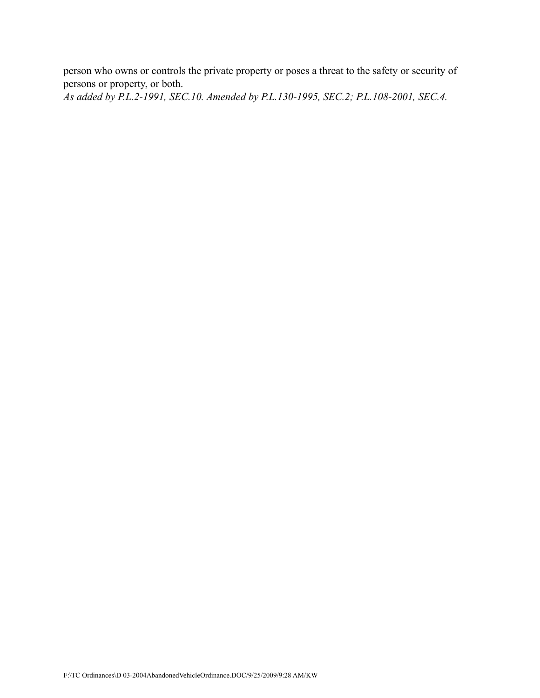person who owns or controls the private property or poses a threat to the safety or security of persons or property, or both.

*As added by P.L.2-1991, SEC.10. Amended by P.L.130-1995, SEC.2; P.L.108-2001, SEC.4.*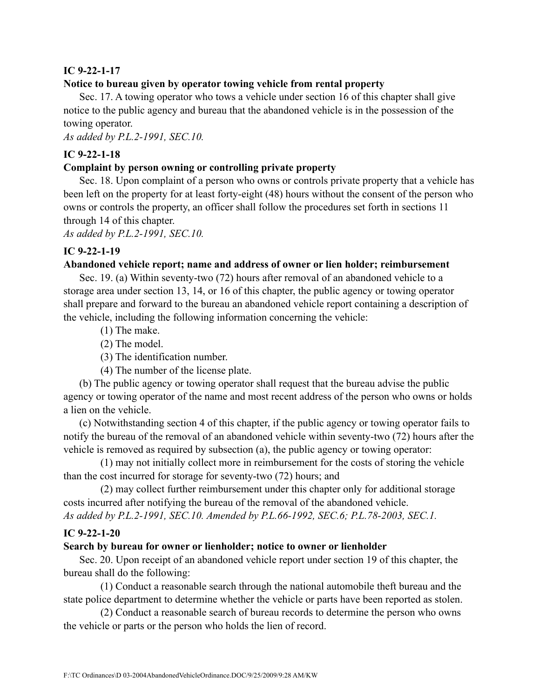### **Notice to bureau given by operator towing vehicle from rental property**

Sec. 17. A towing operator who tows a vehicle under section 16 of this chapter shall give notice to the public agency and bureau that the abandoned vehicle is in the possession of the towing operator.

*As added by P.L.2-1991, SEC.10.*

### **IC 9-22-1-18**

## **Complaint by person owning or controlling private property**

Sec. 18. Upon complaint of a person who owns or controls private property that a vehicle has been left on the property for at least forty-eight (48) hours without the consent of the person who owns or controls the property, an officer shall follow the procedures set forth in sections 11 through 14 of this chapter.

*As added by P.L.2-1991, SEC.10.*

### **IC 9-22-1-19**

### **Abandoned vehicle report; name and address of owner or lien holder; reimbursement**

Sec. 19. (a) Within seventy-two (72) hours after removal of an abandoned vehicle to a storage area under section 13, 14, or 16 of this chapter, the public agency or towing operator shall prepare and forward to the bureau an abandoned vehicle report containing a description of the vehicle, including the following information concerning the vehicle:

- (1) The make.
- (2) The model.
- (3) The identification number.
- (4) The number of the license plate.

 (b) The public agency or towing operator shall request that the bureau advise the public agency or towing operator of the name and most recent address of the person who owns or holds a lien on the vehicle.

 (c) Notwithstanding section 4 of this chapter, if the public agency or towing operator fails to notify the bureau of the removal of an abandoned vehicle within seventy-two (72) hours after the vehicle is removed as required by subsection (a), the public agency or towing operator:

 (1) may not initially collect more in reimbursement for the costs of storing the vehicle than the cost incurred for storage for seventy-two (72) hours; and

 (2) may collect further reimbursement under this chapter only for additional storage costs incurred after notifying the bureau of the removal of the abandoned vehicle. *As added by P.L.2-1991, SEC.10. Amended by P.L.66-1992, SEC.6; P.L.78-2003, SEC.1.*

### **IC 9-22-1-20**

### **Search by bureau for owner or lienholder; notice to owner or lienholder**

Sec. 20. Upon receipt of an abandoned vehicle report under section 19 of this chapter, the bureau shall do the following:

 (1) Conduct a reasonable search through the national automobile theft bureau and the state police department to determine whether the vehicle or parts have been reported as stolen.

 (2) Conduct a reasonable search of bureau records to determine the person who owns the vehicle or parts or the person who holds the lien of record.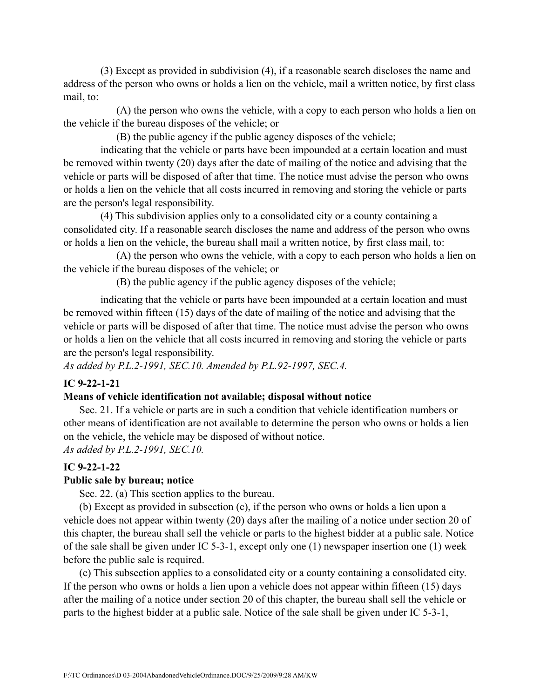(3) Except as provided in subdivision (4), if a reasonable search discloses the name and address of the person who owns or holds a lien on the vehicle, mail a written notice, by first class mail, to:

 (A) the person who owns the vehicle, with a copy to each person who holds a lien on the vehicle if the bureau disposes of the vehicle; or

(B) the public agency if the public agency disposes of the vehicle;

 indicating that the vehicle or parts have been impounded at a certain location and must be removed within twenty (20) days after the date of mailing of the notice and advising that the vehicle or parts will be disposed of after that time. The notice must advise the person who owns or holds a lien on the vehicle that all costs incurred in removing and storing the vehicle or parts are the person's legal responsibility.

 (4) This subdivision applies only to a consolidated city or a county containing a consolidated city. If a reasonable search discloses the name and address of the person who owns or holds a lien on the vehicle, the bureau shall mail a written notice, by first class mail, to:

 (A) the person who owns the vehicle, with a copy to each person who holds a lien on the vehicle if the bureau disposes of the vehicle; or

(B) the public agency if the public agency disposes of the vehicle;

 indicating that the vehicle or parts have been impounded at a certain location and must be removed within fifteen (15) days of the date of mailing of the notice and advising that the vehicle or parts will be disposed of after that time. The notice must advise the person who owns or holds a lien on the vehicle that all costs incurred in removing and storing the vehicle or parts are the person's legal responsibility.

*As added by P.L.2-1991, SEC.10. Amended by P.L.92-1997, SEC.4.*

#### **IC 9-22-1-21**

#### **Means of vehicle identification not available; disposal without notice**

Sec. 21. If a vehicle or parts are in such a condition that vehicle identification numbers or other means of identification are not available to determine the person who owns or holds a lien on the vehicle, the vehicle may be disposed of without notice. *As added by P.L.2-1991, SEC.10.*

#### **IC 9-22-1-22**

#### **Public sale by bureau; notice**

Sec. 22. (a) This section applies to the bureau.

 (b) Except as provided in subsection (c), if the person who owns or holds a lien upon a vehicle does not appear within twenty (20) days after the mailing of a notice under section 20 of this chapter, the bureau shall sell the vehicle or parts to the highest bidder at a public sale. Notice of the sale shall be given under IC 5-3-1, except only one (1) newspaper insertion one (1) week before the public sale is required.

 (c) This subsection applies to a consolidated city or a county containing a consolidated city. If the person who owns or holds a lien upon a vehicle does not appear within fifteen (15) days after the mailing of a notice under section 20 of this chapter, the bureau shall sell the vehicle or parts to the highest bidder at a public sale. Notice of the sale shall be given under IC 5-3-1,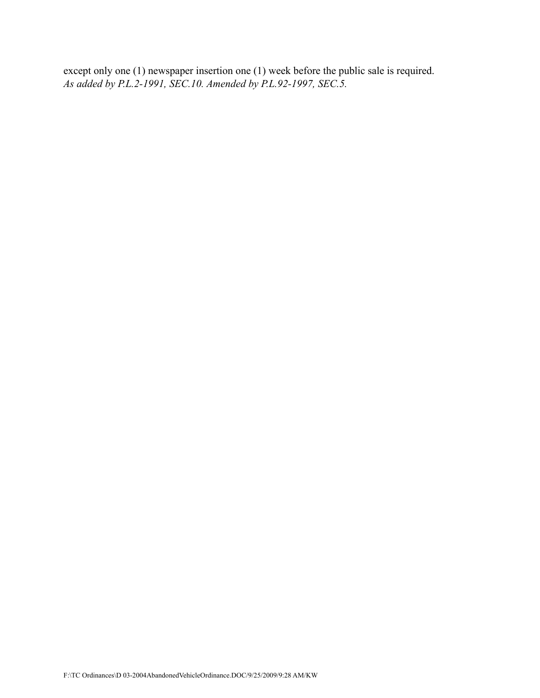except only one (1) newspaper insertion one (1) week before the public sale is required. *As added by P.L.2-1991, SEC.10. Amended by P.L.92-1997, SEC.5.*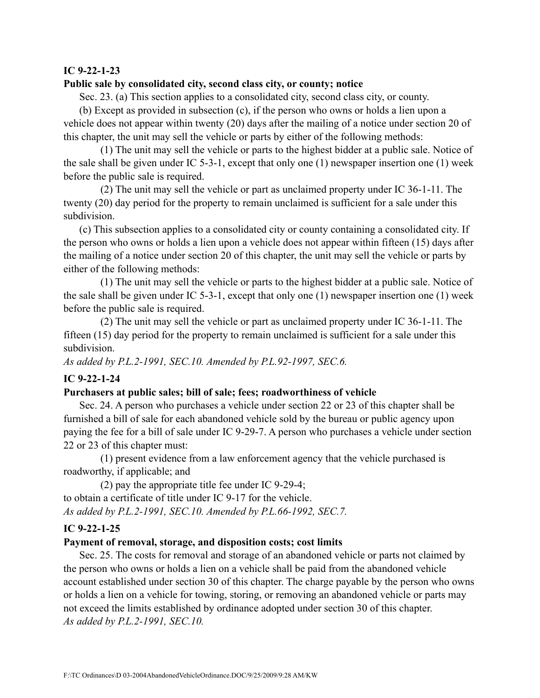#### **Public sale by consolidated city, second class city, or county; notice**

Sec. 23. (a) This section applies to a consolidated city, second class city, or county.

 (b) Except as provided in subsection (c), if the person who owns or holds a lien upon a vehicle does not appear within twenty (20) days after the mailing of a notice under section 20 of this chapter, the unit may sell the vehicle or parts by either of the following methods:

 (1) The unit may sell the vehicle or parts to the highest bidder at a public sale. Notice of the sale shall be given under IC 5-3-1, except that only one (1) newspaper insertion one (1) week before the public sale is required.

 (2) The unit may sell the vehicle or part as unclaimed property under IC 36-1-11. The twenty (20) day period for the property to remain unclaimed is sufficient for a sale under this subdivision.

 (c) This subsection applies to a consolidated city or county containing a consolidated city. If the person who owns or holds a lien upon a vehicle does not appear within fifteen (15) days after the mailing of a notice under section 20 of this chapter, the unit may sell the vehicle or parts by either of the following methods:

 (1) The unit may sell the vehicle or parts to the highest bidder at a public sale. Notice of the sale shall be given under IC 5-3-1, except that only one (1) newspaper insertion one (1) week before the public sale is required.

 (2) The unit may sell the vehicle or part as unclaimed property under IC 36-1-11. The fifteen (15) day period for the property to remain unclaimed is sufficient for a sale under this subdivision.

*As added by P.L.2-1991, SEC.10. Amended by P.L.92-1997, SEC.6.*

### **IC 9-22-1-24**

#### **Purchasers at public sales; bill of sale; fees; roadworthiness of vehicle**

Sec. 24. A person who purchases a vehicle under section 22 or 23 of this chapter shall be furnished a bill of sale for each abandoned vehicle sold by the bureau or public agency upon paying the fee for a bill of sale under IC 9-29-7. A person who purchases a vehicle under section 22 or 23 of this chapter must:

 (1) present evidence from a law enforcement agency that the vehicle purchased is roadworthy, if applicable; and

 (2) pay the appropriate title fee under IC 9-29-4; to obtain a certificate of title under IC 9-17 for the vehicle. *As added by P.L.2-1991, SEC.10. Amended by P.L.66-1992, SEC.7.*

#### **IC 9-22-1-25**

### **Payment of removal, storage, and disposition costs; cost limits**

Sec. 25. The costs for removal and storage of an abandoned vehicle or parts not claimed by the person who owns or holds a lien on a vehicle shall be paid from the abandoned vehicle account established under section 30 of this chapter. The charge payable by the person who owns or holds a lien on a vehicle for towing, storing, or removing an abandoned vehicle or parts may not exceed the limits established by ordinance adopted under section 30 of this chapter. *As added by P.L.2-1991, SEC.10.*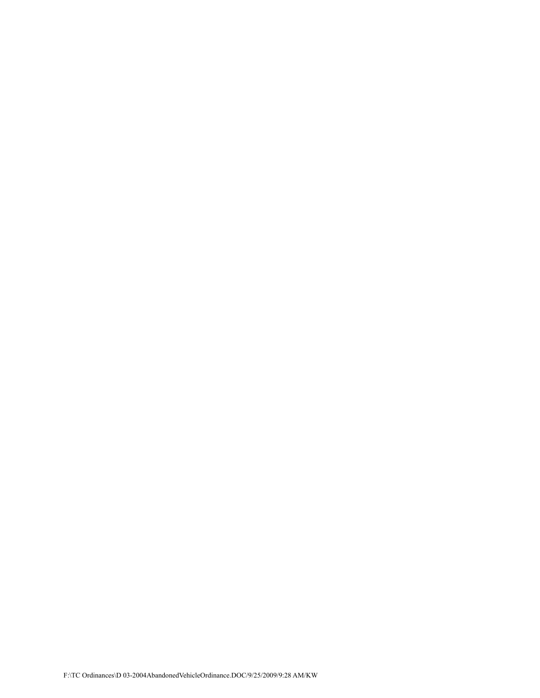F:\TC Ordinances\D 03-2004AbandonedVehicleOrdinance.DOC/9/25/2009/9:28 AM/KW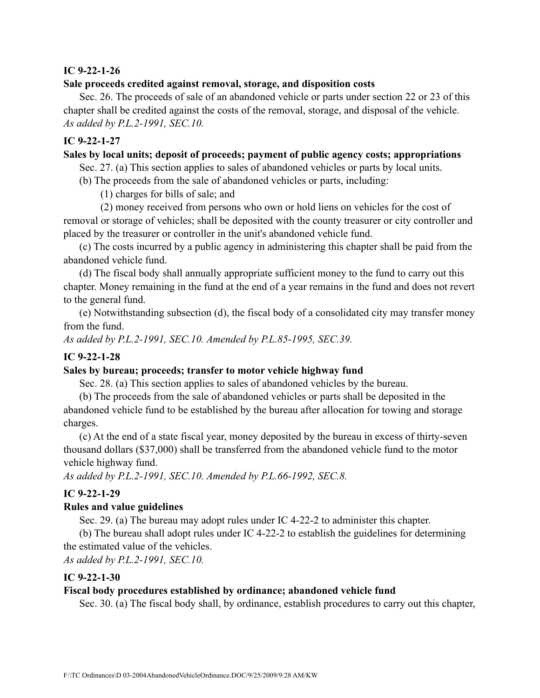### **Sale proceeds credited against removal, storage, and disposition costs**

Sec. 26. The proceeds of sale of an abandoned vehicle or parts under section 22 or 23 of this chapter shall be credited against the costs of the removal, storage, and disposal of the vehicle. *As added by P.L.2-1991, SEC.10.*

### **IC 9-22-1-27**

#### **Sales by local units; deposit of proceeds; payment of public agency costs; appropriations**

Sec. 27. (a) This section applies to sales of abandoned vehicles or parts by local units.

(b) The proceeds from the sale of abandoned vehicles or parts, including:

(1) charges for bills of sale; and

 (2) money received from persons who own or hold liens on vehicles for the cost of removal or storage of vehicles; shall be deposited with the county treasurer or city controller and placed by the treasurer or controller in the unit's abandoned vehicle fund.

 (c) The costs incurred by a public agency in administering this chapter shall be paid from the abandoned vehicle fund.

 (d) The fiscal body shall annually appropriate sufficient money to the fund to carry out this chapter. Money remaining in the fund at the end of a year remains in the fund and does not revert to the general fund.

 (e) Notwithstanding subsection (d), the fiscal body of a consolidated city may transfer money from the fund.

*As added by P.L.2-1991, SEC.10. Amended by P.L.85-1995, SEC.39.*

#### **IC 9-22-1-28**

#### **Sales by bureau; proceeds; transfer to motor vehicle highway fund**

Sec. 28. (a) This section applies to sales of abandoned vehicles by the bureau.

 (b) The proceeds from the sale of abandoned vehicles or parts shall be deposited in the abandoned vehicle fund to be established by the bureau after allocation for towing and storage charges.

 (c) At the end of a state fiscal year, money deposited by the bureau in excess of thirty-seven thousand dollars (\$37,000) shall be transferred from the abandoned vehicle fund to the motor vehicle highway fund.

*As added by P.L.2-1991, SEC.10. Amended by P.L.66-1992, SEC.8.*

### **IC 9-22-1-29**

#### **Rules and value guidelines**

Sec. 29. (a) The bureau may adopt rules under IC 4-22-2 to administer this chapter.

 (b) The bureau shall adopt rules under IC 4-22-2 to establish the guidelines for determining the estimated value of the vehicles.

*As added by P.L.2-1991, SEC.10.*

#### **IC 9-22-1-30**

#### **Fiscal body procedures established by ordinance; abandoned vehicle fund**

Sec. 30. (a) The fiscal body shall, by ordinance, establish procedures to carry out this chapter,